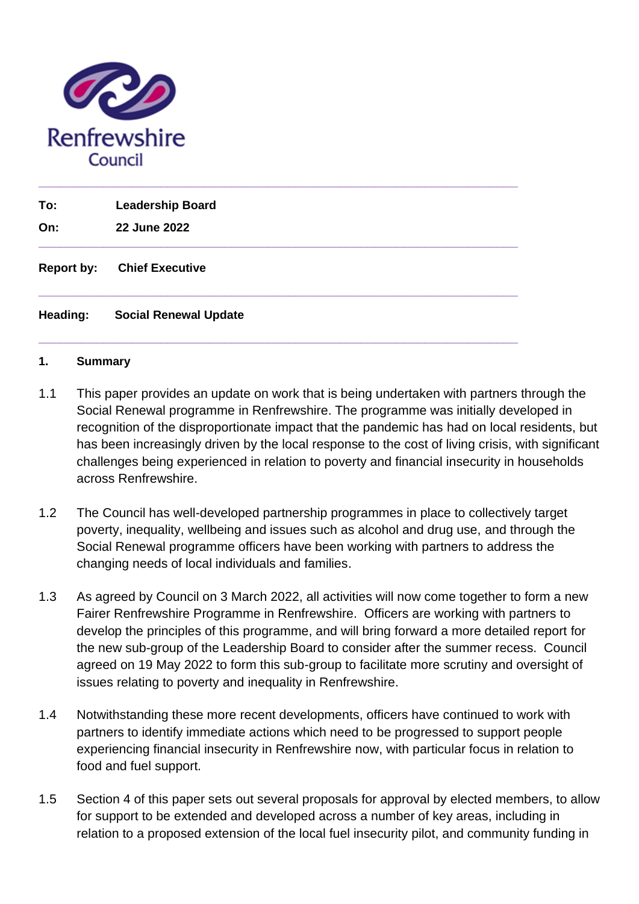

| To:<br>On:        | <b>Leadership Board</b><br>22 June 2022 |
|-------------------|-----------------------------------------|
| <b>Report by:</b> | <b>Chief Executive</b>                  |
| Heading:          | <b>Social Renewal Update</b>            |

#### **1. Summary**

- 1.1 This paper provides an update on work that is being undertaken with partners through the Social Renewal programme in Renfrewshire. The programme was initially developed in recognition of the disproportionate impact that the pandemic has had on local residents, but has been increasingly driven by the local response to the cost of living crisis, with significant challenges being experienced in relation to poverty and financial insecurity in households across Renfrewshire.
- 1.2 The Council has well-developed partnership programmes in place to collectively target poverty, inequality, wellbeing and issues such as alcohol and drug use, and through the Social Renewal programme officers have been working with partners to address the changing needs of local individuals and families.
- 1.3 As agreed by Council on 3 March 2022, all activities will now come together to form a new Fairer Renfrewshire Programme in Renfrewshire. Officers are working with partners to develop the principles of this programme, and will bring forward a more detailed report for the new sub-group of the Leadership Board to consider after the summer recess. Council agreed on 19 May 2022 to form this sub-group to facilitate more scrutiny and oversight of issues relating to poverty and inequality in Renfrewshire.
- 1.4 Notwithstanding these more recent developments, officers have continued to work with partners to identify immediate actions which need to be progressed to support people experiencing financial insecurity in Renfrewshire now, with particular focus in relation to food and fuel support.
- 1.5 Section 4 of this paper sets out several proposals for approval by elected members, to allow for support to be extended and developed across a number of key areas, including in relation to a proposed extension of the local fuel insecurity pilot, and community funding in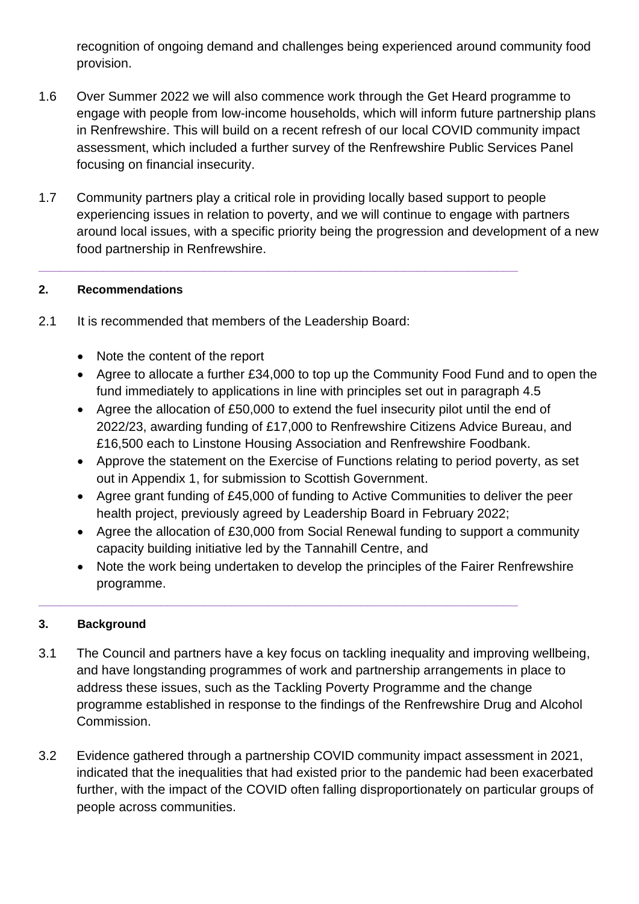recognition of ongoing demand and challenges being experienced around community food provision.

- 1.6 Over Summer 2022 we will also commence work through the Get Heard programme to engage with people from low-income households, which will inform future partnership plans in Renfrewshire. This will build on a recent refresh of our local COVID community impact assessment, which included a further survey of the Renfrewshire Public Services Panel focusing on financial insecurity.
- 1.7 Community partners play a critical role in providing locally based support to people experiencing issues in relation to poverty, and we will continue to engage with partners around local issues, with a specific priority being the progression and development of a new food partnership in Renfrewshire.

**\_\_\_\_\_\_\_\_\_\_\_\_\_\_\_\_\_\_\_\_\_\_\_\_\_\_\_\_\_\_\_\_\_\_\_\_\_\_\_\_\_\_\_\_\_\_\_\_\_\_\_\_\_\_\_\_\_\_\_\_\_\_\_\_\_\_\_**

# **2. Recommendations**

- 2.1 It is recommended that members of the Leadership Board:
	- Note the content of the report
	- Agree to allocate a further £34,000 to top up the Community Food Fund and to open the fund immediately to applications in line with principles set out in paragraph 4.5
	- Agree the allocation of £50,000 to extend the fuel insecurity pilot until the end of 2022/23, awarding funding of £17,000 to Renfrewshire Citizens Advice Bureau, and £16,500 each to Linstone Housing Association and Renfrewshire Foodbank.
	- Approve the statement on the Exercise of Functions relating to period poverty, as set out in Appendix 1, for submission to Scottish Government.
	- Agree grant funding of £45,000 of funding to Active Communities to deliver the peer health project, previously agreed by Leadership Board in February 2022;
	- Agree the allocation of £30,000 from Social Renewal funding to support a community capacity building initiative led by the Tannahill Centre, and
	- Note the work being undertaken to develop the principles of the Fairer Renfrewshire programme.

**\_\_\_\_\_\_\_\_\_\_\_\_\_\_\_\_\_\_\_\_\_\_\_\_\_\_\_\_\_\_\_\_\_\_\_\_\_\_\_\_\_\_\_\_\_\_\_\_\_\_\_\_\_\_\_\_\_\_\_\_\_\_\_\_\_\_\_**

# **3. Background**

- 3.1 The Council and partners have a key focus on tackling inequality and improving wellbeing, and have longstanding programmes of work and partnership arrangements in place to address these issues, such as the Tackling Poverty Programme and the change programme established in response to the findings of the Renfrewshire Drug and Alcohol Commission.
- 3.2 Evidence gathered through a partnership COVID community impact assessment in 2021, indicated that the inequalities that had existed prior to the pandemic had been exacerbated further, with the impact of the COVID often falling disproportionately on particular groups of people across communities.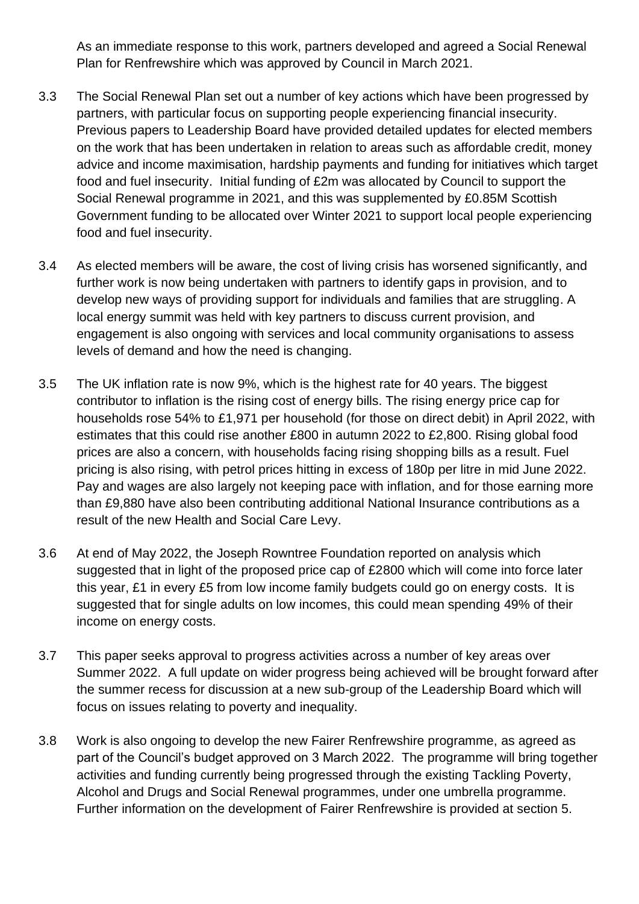As an immediate response to this work, partners developed and agreed a Social Renewal Plan for Renfrewshire which was approved by Council in March 2021.

- 3.3 The Social Renewal Plan set out a number of key actions which have been progressed by partners, with particular focus on supporting people experiencing financial insecurity. Previous papers to Leadership Board have provided detailed updates for elected members on the work that has been undertaken in relation to areas such as affordable credit, money advice and income maximisation, hardship payments and funding for initiatives which target food and fuel insecurity. Initial funding of £2m was allocated by Council to support the Social Renewal programme in 2021, and this was supplemented by £0.85M Scottish Government funding to be allocated over Winter 2021 to support local people experiencing food and fuel insecurity.
- 3.4 As elected members will be aware, the cost of living crisis has worsened significantly, and further work is now being undertaken with partners to identify gaps in provision, and to develop new ways of providing support for individuals and families that are struggling. A local energy summit was held with key partners to discuss current provision, and engagement is also ongoing with services and local community organisations to assess levels of demand and how the need is changing.
- 3.5 The UK inflation rate is now 9%, which is the highest rate for 40 years. The biggest contributor to inflation is the rising cost of energy bills. The rising energy price cap for households rose 54% to £1,971 per household (for those on direct debit) in April 2022, with estimates that this could rise another £800 in autumn 2022 to £2,800. Rising global food prices are also a concern, with households facing rising shopping bills as a result. Fuel pricing is also rising, with petrol prices hitting in excess of 180p per litre in mid June 2022. Pay and wages are also largely not keeping pace with inflation, and for those earning more than £9,880 have also been contributing additional National Insurance contributions as a result of the new Health and Social Care Levy.
- 3.6 At end of May 2022, the Joseph Rowntree Foundation reported on analysis which suggested that in light of the proposed price cap of £2800 which will come into force later this year, £1 in every £5 from low income family budgets could go on energy costs. It is suggested that for single adults on low incomes, this could mean spending 49% of their income on energy costs.
- 3.7 This paper seeks approval to progress activities across a number of key areas over Summer 2022. A full update on wider progress being achieved will be brought forward after the summer recess for discussion at a new sub-group of the Leadership Board which will focus on issues relating to poverty and inequality.
- 3.8 Work is also ongoing to develop the new Fairer Renfrewshire programme, as agreed as part of the Council's budget approved on 3 March 2022. The programme will bring together activities and funding currently being progressed through the existing Tackling Poverty, Alcohol and Drugs and Social Renewal programmes, under one umbrella programme. Further information on the development of Fairer Renfrewshire is provided at section 5.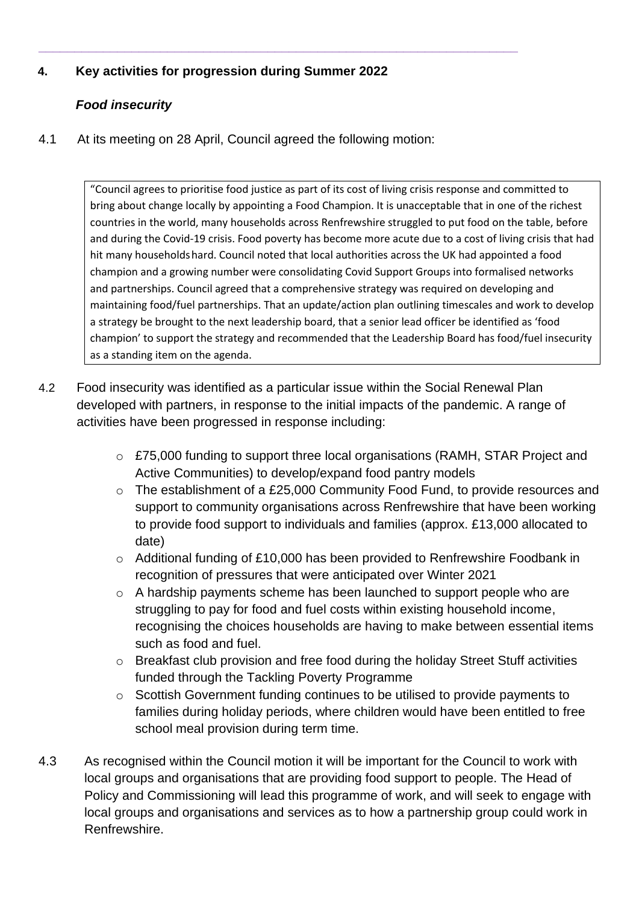# **4. Key activities for progression during Summer 2022**

# *Food insecurity*

4.1 At its meeting on 28 April, Council agreed the following motion:

**\_\_\_\_\_\_\_\_\_\_\_\_\_\_\_\_\_\_\_\_\_\_\_\_\_\_\_\_\_\_\_\_\_\_\_\_\_\_\_\_\_\_\_\_\_\_\_\_\_\_\_\_\_\_\_\_\_\_\_\_\_\_\_\_\_\_\_**

"Council agrees to prioritise food justice as part of its cost of living crisis response and committed to bring about change locally by appointing a Food Champion. It is unacceptable that in one of the richest countries in the world, many households across Renfrewshire struggled to put food on the table, before and during the Covid-19 crisis. Food poverty has become more acute due to a cost of living crisis that had hit many householdshard. Council noted that local authorities across the UK had appointed a food champion and a growing number were consolidating Covid Support Groups into formalised networks and partnerships. Council agreed that a comprehensive strategy was required on developing and maintaining food/fuel partnerships. That an update/action plan outlining timescales and work to develop a strategy be brought to the next leadership board, that a senior lead officer be identified as 'food champion' to support the strategy and recommended that the Leadership Board has food/fuel insecurity as a standing item on the agenda.

- 4.2 Food insecurity was identified as a particular issue within the Social Renewal Plan developed with partners, in response to the initial impacts of the pandemic. A range of activities have been progressed in response including:
	- o £75,000 funding to support three local organisations (RAMH, STAR Project and Active Communities) to develop/expand food pantry models
	- o The establishment of a £25,000 Community Food Fund, to provide resources and support to community organisations across Renfrewshire that have been working to provide food support to individuals and families (approx. £13,000 allocated to date)
	- o Additional funding of £10,000 has been provided to Renfrewshire Foodbank in recognition of pressures that were anticipated over Winter 2021
	- o A hardship payments scheme has been launched to support people who are struggling to pay for food and fuel costs within existing household income, recognising the choices households are having to make between essential items such as food and fuel.
	- o Breakfast club provision and free food during the holiday Street Stuff activities funded through the Tackling Poverty Programme
	- o Scottish Government funding continues to be utilised to provide payments to families during holiday periods, where children would have been entitled to free school meal provision during term time.
- 4.3 As recognised within the Council motion it will be important for the Council to work with local groups and organisations that are providing food support to people. The Head of Policy and Commissioning will lead this programme of work, and will seek to engage with local groups and organisations and services as to how a partnership group could work in Renfrewshire.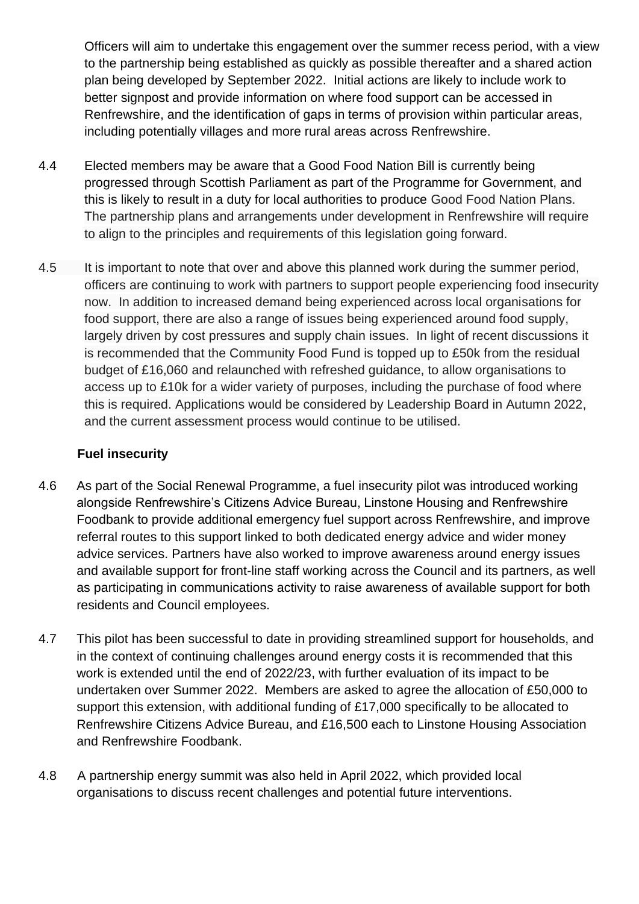Officers will aim to undertake this engagement over the summer recess period, with a view to the partnership being established as quickly as possible thereafter and a shared action plan being developed by September 2022. Initial actions are likely to include work to better signpost and provide information on where food support can be accessed in Renfrewshire, and the identification of gaps in terms of provision within particular areas, including potentially villages and more rural areas across Renfrewshire.

- 4.4 Elected members may be aware that a Good Food Nation Bill is currently being progressed through Scottish Parliament as part of the Programme for Government, and this is likely to result in a duty for local authorities to produce Good Food Nation Plans. The partnership plans and arrangements under development in Renfrewshire will require to align to the principles and requirements of this legislation going forward.
- 4.5 It is important to note that over and above this planned work during the summer period, officers are continuing to work with partners to support people experiencing food insecurity now. In addition to increased demand being experienced across local organisations for food support, there are also a range of issues being experienced around food supply, largely driven by cost pressures and supply chain issues. In light of recent discussions it is recommended that the Community Food Fund is topped up to £50k from the residual budget of £16,060 and relaunched with refreshed guidance, to allow organisations to access up to £10k for a wider variety of purposes, including the purchase of food where this is required. Applications would be considered by Leadership Board in Autumn 2022, and the current assessment process would continue to be utilised.

# **Fuel insecurity**

- 4.6 As part of the Social Renewal Programme, a fuel insecurity pilot was introduced working alongside Renfrewshire's Citizens Advice Bureau, Linstone Housing and Renfrewshire Foodbank to provide additional emergency fuel support across Renfrewshire, and improve referral routes to this support linked to both dedicated energy advice and wider money advice services. Partners have also worked to improve awareness around energy issues and available support for front-line staff working across the Council and its partners, as well as participating in communications activity to raise awareness of available support for both residents and Council employees.
- 4.7 This pilot has been successful to date in providing streamlined support for households, and in the context of continuing challenges around energy costs it is recommended that this work is extended until the end of 2022/23, with further evaluation of its impact to be undertaken over Summer 2022. Members are asked to agree the allocation of £50,000 to support this extension, with additional funding of £17,000 specifically to be allocated to Renfrewshire Citizens Advice Bureau, and £16,500 each to Linstone Housing Association and Renfrewshire Foodbank.
- 4.8 A partnership energy summit was also held in April 2022, which provided local organisations to discuss recent challenges and potential future interventions.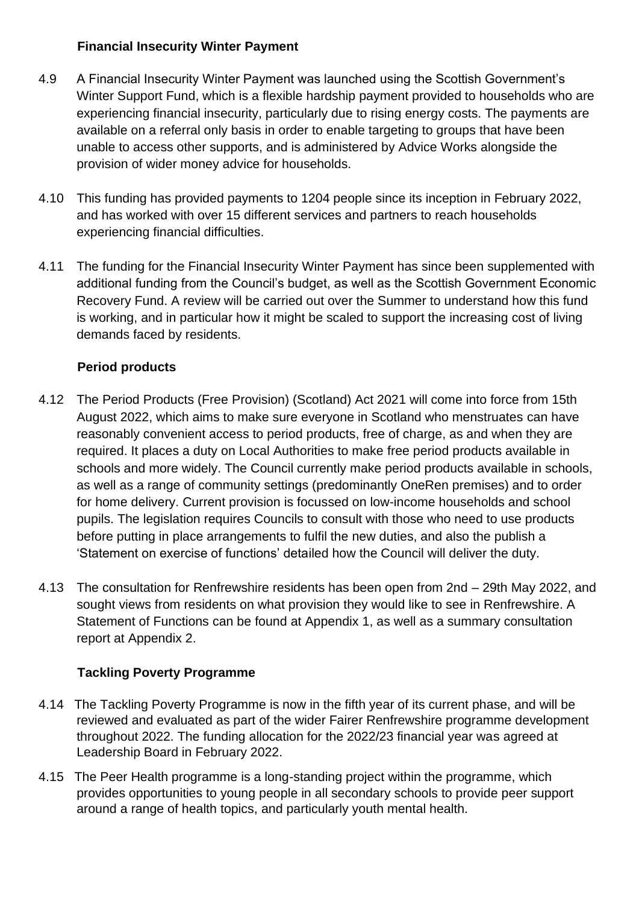# **Financial Insecurity Winter Payment**

- 4.9 A Financial Insecurity Winter Payment was launched using the Scottish Government's Winter Support Fund, which is a flexible hardship payment provided to households who are experiencing financial insecurity, particularly due to rising energy costs. The payments are available on a referral only basis in order to enable targeting to groups that have been unable to access other supports, and is administered by Advice Works alongside the provision of wider money advice for households.
- 4.10 This funding has provided payments to 1204 people since its inception in February 2022, and has worked with over 15 different services and partners to reach households experiencing financial difficulties.
- 4.11 The funding for the Financial Insecurity Winter Payment has since been supplemented with additional funding from the Council's budget, as well as the Scottish Government Economic Recovery Fund. A review will be carried out over the Summer to understand how this fund is working, and in particular how it might be scaled to support the increasing cost of living demands faced by residents.

# **Period products**

- 4.12 The Period Products (Free Provision) (Scotland) Act 2021 will come into force from 15th August 2022, which aims to make sure everyone in Scotland who menstruates can have reasonably convenient access to period products, free of charge, as and when they are required. It places a duty on Local Authorities to make free period products available in schools and more widely. The Council currently make period products available in schools, as well as a range of community settings (predominantly OneRen premises) and to order for home delivery. Current provision is focussed on low-income households and school pupils. The legislation requires Councils to consult with those who need to use products before putting in place arrangements to fulfil the new duties, and also the publish a 'Statement on exercise of functions' detailed how the Council will deliver the duty.
- 4.13 The consultation for Renfrewshire residents has been open from 2nd 29th May 2022, and sought views from residents on what provision they would like to see in Renfrewshire. A Statement of Functions can be found at Appendix 1, as well as a summary consultation report at Appendix 2.

# **Tackling Poverty Programme**

- 4.14 The Tackling Poverty Programme is now in the fifth year of its current phase, and will be reviewed and evaluated as part of the wider Fairer Renfrewshire programme development throughout 2022. The funding allocation for the 2022/23 financial year was agreed at Leadership Board in February 2022.
- 4.15 The Peer Health programme is a long-standing project within the programme, which provides opportunities to young people in all secondary schools to provide peer support around a range of health topics, and particularly youth mental health.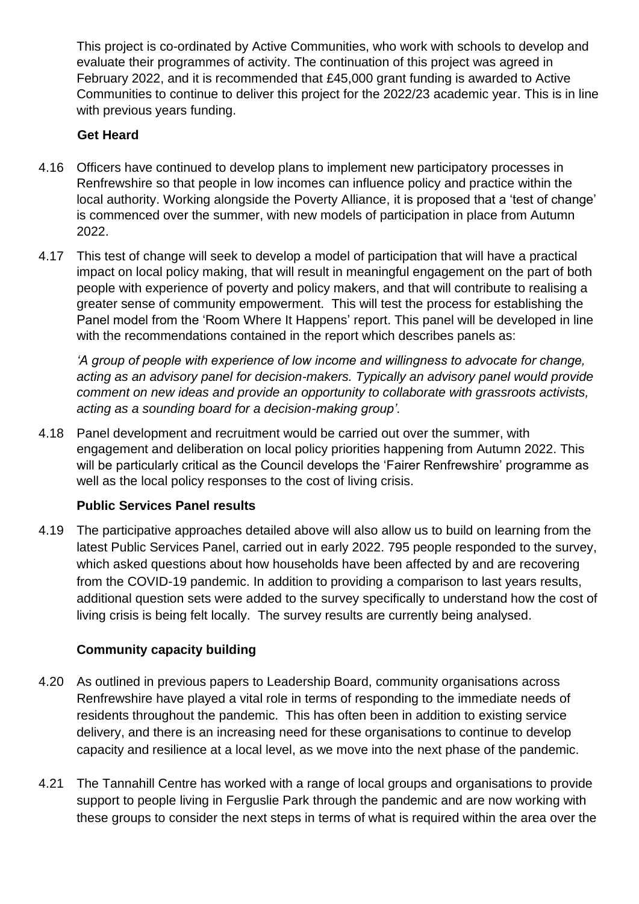This project is co-ordinated by Active Communities, who work with schools to develop and evaluate their programmes of activity. The continuation of this project was agreed in February 2022, and it is recommended that £45,000 grant funding is awarded to Active Communities to continue to deliver this project for the 2022/23 academic year. This is in line with previous years funding.

# **Get Heard**

- 4.16 Officers have continued to develop plans to implement new participatory processes in Renfrewshire so that people in low incomes can influence policy and practice within the local authority. Working alongside the Poverty Alliance, it is proposed that a 'test of change' is commenced over the summer, with new models of participation in place from Autumn 2022.
- 4.17 This test of change will seek to develop a model of participation that will have a practical impact on local policy making, that will result in meaningful engagement on the part of both people with experience of poverty and policy makers, and that will contribute to realising a greater sense of community empowerment. This will test the process for establishing the Panel model from the 'Room Where It Happens' report. This panel will be developed in line with the recommendations contained in the report which describes panels as:

*'A group of people with experience of low income and willingness to advocate for change, acting as an advisory panel for decision-makers. Typically an advisory panel would provide comment on new ideas and provide an opportunity to collaborate with grassroots activists, acting as a sounding board for a decision-making group'.*

4.18 Panel development and recruitment would be carried out over the summer, with engagement and deliberation on local policy priorities happening from Autumn 2022. This will be particularly critical as the Council develops the 'Fairer Renfrewshire' programme as well as the local policy responses to the cost of living crisis.

# **Public Services Panel results**

4.19 The participative approaches detailed above will also allow us to build on learning from the latest Public Services Panel, carried out in early 2022. 795 people responded to the survey, which asked questions about how households have been affected by and are recovering from the COVID-19 pandemic. In addition to providing a comparison to last years results, additional question sets were added to the survey specifically to understand how the cost of living crisis is being felt locally. The survey results are currently being analysed.

# **Community capacity building**

- 4.20 As outlined in previous papers to Leadership Board, community organisations across Renfrewshire have played a vital role in terms of responding to the immediate needs of residents throughout the pandemic. This has often been in addition to existing service delivery, and there is an increasing need for these organisations to continue to develop capacity and resilience at a local level, as we move into the next phase of the pandemic.
- 4.21 The Tannahill Centre has worked with a range of local groups and organisations to provide support to people living in Ferguslie Park through the pandemic and are now working with these groups to consider the next steps in terms of what is required within the area over the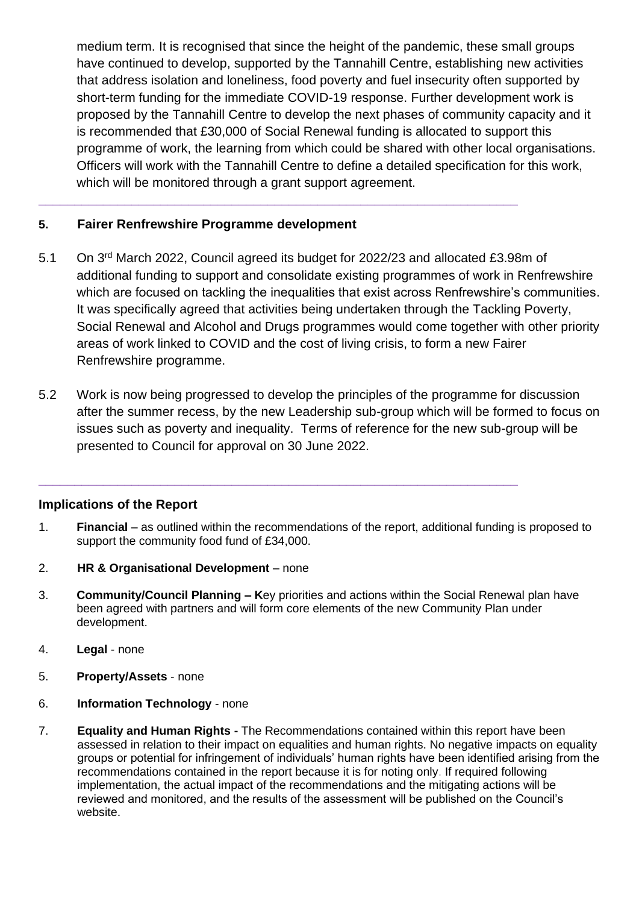medium term. It is recognised that since the height of the pandemic, these small groups have continued to develop, supported by the Tannahill Centre, establishing new activities that address isolation and loneliness, food poverty and fuel insecurity often supported by short-term funding for the immediate COVID-19 response. Further development work is proposed by the Tannahill Centre to develop the next phases of community capacity and it is recommended that £30,000 of Social Renewal funding is allocated to support this programme of work, the learning from which could be shared with other local organisations. Officers will work with the Tannahill Centre to define a detailed specification for this work, which will be monitored through a grant support agreement.

# **5. Fairer Renfrewshire Programme development**

5.1 On 3rd March 2022, Council agreed its budget for 2022/23 and allocated £3.98m of additional funding to support and consolidate existing programmes of work in Renfrewshire which are focused on tackling the inequalities that exist across Renfrewshire's communities. It was specifically agreed that activities being undertaken through the Tackling Poverty, Social Renewal and Alcohol and Drugs programmes would come together with other priority areas of work linked to COVID and the cost of living crisis, to form a new Fairer Renfrewshire programme.

**\_\_\_\_\_\_\_\_\_\_\_\_\_\_\_\_\_\_\_\_\_\_\_\_\_\_\_\_\_\_\_\_\_\_\_\_\_\_\_\_\_\_\_\_\_\_\_\_\_\_\_\_\_\_\_\_\_\_\_\_\_\_\_\_\_\_\_**

5.2 Work is now being progressed to develop the principles of the programme for discussion after the summer recess, by the new Leadership sub-group which will be formed to focus on issues such as poverty and inequality. Terms of reference for the new sub-group will be presented to Council for approval on 30 June 2022.

#### **Implications of the Report**

1. **Financial** – as outlined within the recommendations of the report, additional funding is proposed to support the community food fund of £34,000.

**\_\_\_\_\_\_\_\_\_\_\_\_\_\_\_\_\_\_\_\_\_\_\_\_\_\_\_\_\_\_\_\_\_\_\_\_\_\_\_\_\_\_\_\_\_\_\_\_\_\_\_\_\_\_\_\_\_\_\_\_\_\_\_\_\_\_\_**

- 2. **HR & Organisational Development**  none
- 3. **Community/Council Planning – K**ey priorities and actions within the Social Renewal plan have been agreed with partners and will form core elements of the new Community Plan under development.
- 4. **Legal**  none
- 5. **Property/Assets**  none
- 6. **Information Technology**  none
- 7. **Equality and Human Rights -** The Recommendations contained within this report have been assessed in relation to their impact on equalities and human rights. No negative impacts on equality groups or potential for infringement of individuals' human rights have been identified arising from the recommendations contained in the report because it is for noting only. If required following implementation, the actual impact of the recommendations and the mitigating actions will be reviewed and monitored, and the results of the assessment will be published on the Council's website.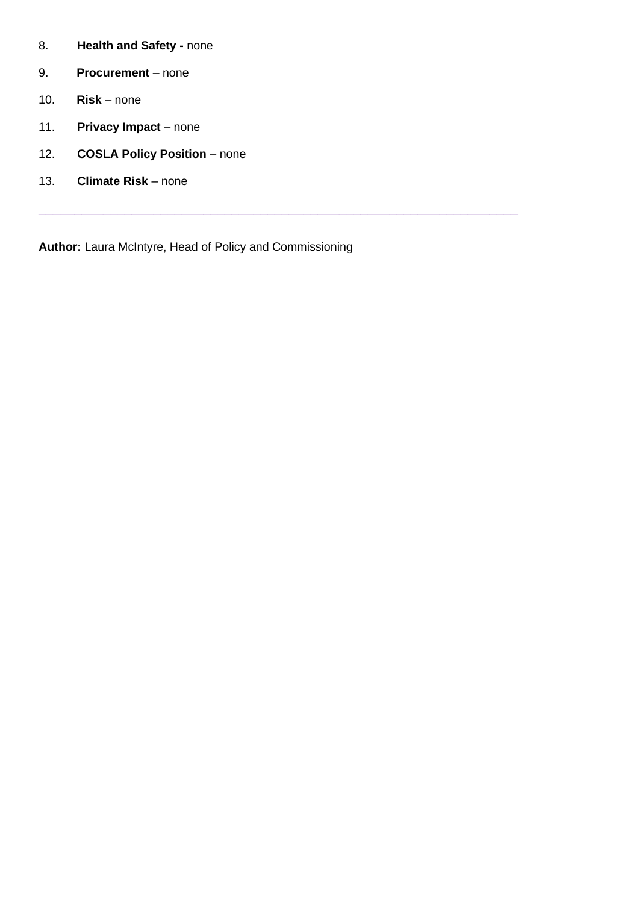- 8. **Health and Safety -** none
- 9. **Procurement** none
- 10. **Risk**  none
- 11. **Privacy Impact** none
- 12. **COSLA Policy Position** none
- 13. **Climate Risk** none

**Author:** Laura McIntyre, Head of Policy and Commissioning

**\_\_\_\_\_\_\_\_\_\_\_\_\_\_\_\_\_\_\_\_\_\_\_\_\_\_\_\_\_\_\_\_\_\_\_\_\_\_\_\_\_\_\_\_\_\_\_\_\_\_\_\_\_\_\_\_\_\_\_\_\_\_\_\_\_\_\_**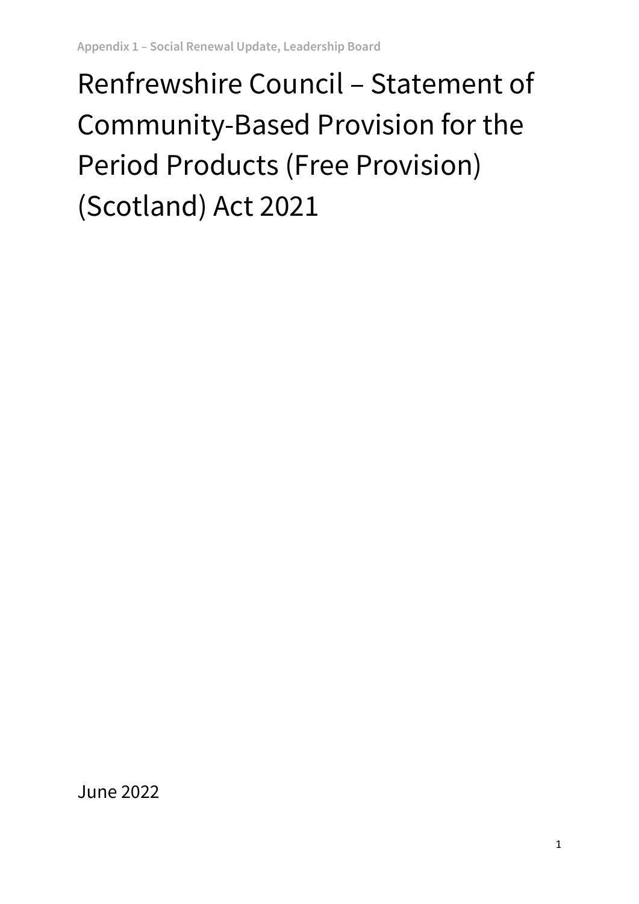# Renfrewshire Council – Statement of Community-Based Provision for the Period Products (Free Provision) (Scotland) Act 2021

June 2022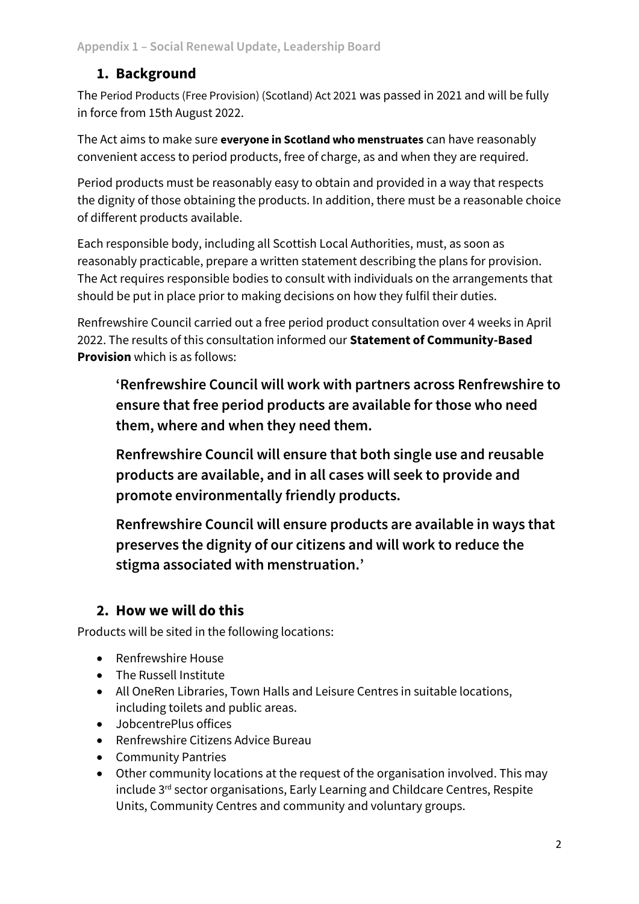# **1. Background**

The [Period Products \(Free Provision\) \(Scotland\) Act 2021](https://www.legislation.gov.uk/asp/2021/1/2021-03-18) was passed in 2021 and will be fully in force from 15th August 2022.

The Act aims to make sure **everyone in Scotland who menstruates** can have reasonably convenient access to period products, free of charge, as and when they are required.

Period products must be reasonably easy to obtain and provided in a way that respects the dignity of those obtaining the products. In addition, there must be a reasonable choice of different products available.

Each responsible body, including all Scottish Local Authorities, must, as soon as reasonably practicable, prepare a written statement describing the plans for provision. The Act requires responsible bodies to consult with individuals on the arrangements that should be put in place prior to making decisions on how they fulfil their duties.

Renfrewshire Council carried out a free period product consultation over 4 weeks in April 2022. The results of this consultation informed our **Statement of Community-Based Provision** which is as follows:

**'Renfrewshire Council will work with partners across Renfrewshire to ensure that free period products are available for those who need them, where and when they need them.** 

**Renfrewshire Council will ensure that both single use and reusable products are available, and in all cases will seek to provide and promote environmentally friendly products.**

**Renfrewshire Council will ensure products are available in ways that preserves the dignity of our citizens and will work to reduce the stigma associated with menstruation.'**

# **2. How we will do this**

Products will be sited in the following locations:

- Renfrewshire House
- The Russell Institute
- All OneRen Libraries, Town Halls and Leisure Centres in suitable locations, including toilets and public areas.
- JobcentrePlus offices
- Renfrewshire Citizens Advice Bureau
- Community Pantries
- Other community locations at the request of the organisation involved. This may include 3rd sector organisations, Early Learning and Childcare Centres, Respite Units, Community Centres and community and voluntary groups.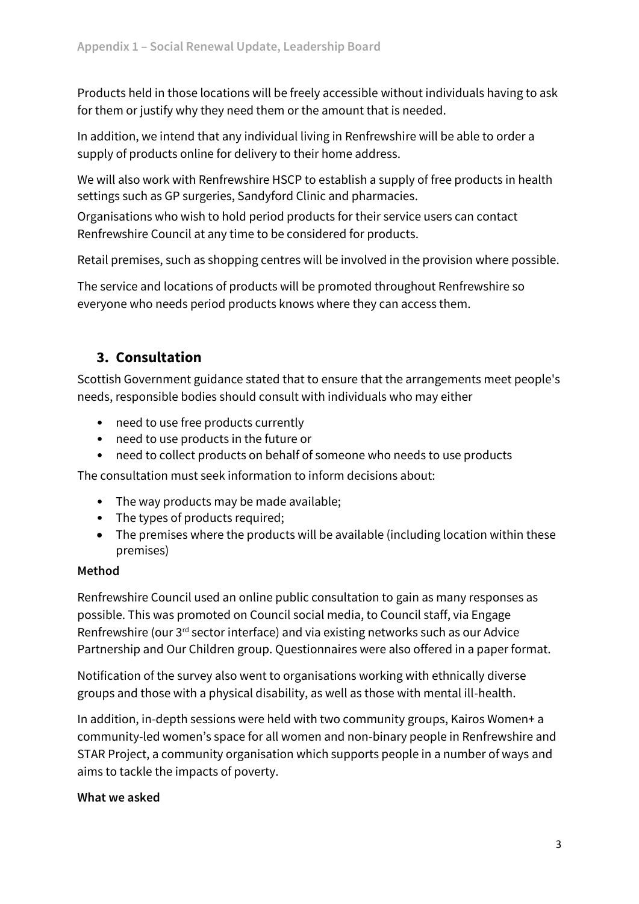Products held in those locations will be freely accessible without individuals having to ask for them or justify why they need them or the amount that is needed.

In addition, we intend that any individual living in Renfrewshire will be able to order a supply of products online for delivery to their home address.

We will also work with Renfrewshire HSCP to establish a supply of free products in health settings such as GP surgeries, Sandyford Clinic and pharmacies.

Organisations who wish to hold period products for their service users can contact Renfrewshire Council at any time to be considered for products.

Retail premises, such as shopping centres will be involved in the provision where possible.

The service and locations of products will be promoted throughout Renfrewshire so everyone who needs period products knows where they can access them.

# **3. Consultation**

Scottish Government guidance stated that to ensure that the arrangements meet people's needs, responsible bodies should consult with individuals who may either

- need to use free products currently
- need to use products in the future or
- need to collect products on behalf of someone who needs to use products

The consultation must seek information to inform decisions about:

- The way products may be made available;
- The types of products required;
- The premises where the products will be available (including location within these premises)

# **Method**

Renfrewshire Council used an online public consultation to gain as many responses as possible. This was promoted on Council social media, to Council staff, via Engage Renfrewshire (our 3rd sector interface) and via existing networks such as our Advice Partnership and Our Children group. Questionnaires were also offered in a paper format.

Notification of the survey also went to organisations working with ethnically diverse groups and those with a physical disability, as well as those with mental ill-health.

In addition, in-depth sessions were held with two community groups, Kairos Women+ a community-led women's space for all women and non-binary people in Renfrewshire and STAR Project, a community organisation which supports people in a number of ways and aims to tackle the impacts of poverty.

#### **What we asked**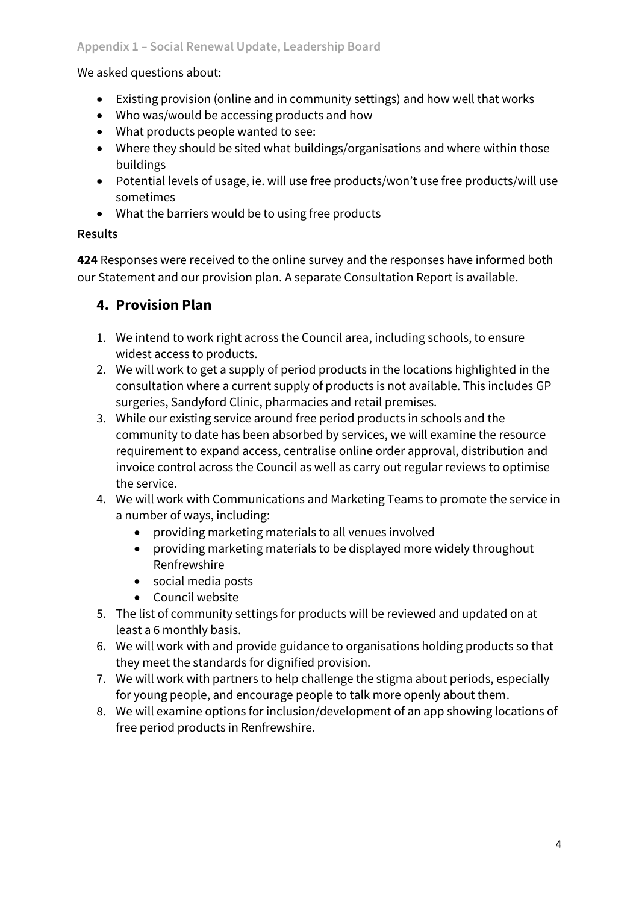## We asked questions about:

- Existing provision (online and in community settings) and how well that works
- Who was/would be accessing products and how
- What products people wanted to see:
- Where they should be sited what buildings/organisations and where within those buildings
- Potential levels of usage, ie. will use free products/won't use free products/will use sometimes
- What the barriers would be to using free products

# **Results**

**424** Responses were received to the online survey and the responses have informed both our Statement and our provision plan. A separate Consultation Report is available.

# **4. Provision Plan**

- 1. We intend to work right across the Council area, including schools, to ensure widest access to products.
- 2. We will work to get a supply of period products in the locations highlighted in the consultation where a current supply of products is not available. This includes GP surgeries, Sandyford Clinic, pharmacies and retail premises.
- 3. While our existing service around free period products in schools and the community to date has been absorbed by services, we will examine the resource requirement to expand access, centralise online order approval, distribution and invoice control across the Council as well as carry out regular reviews to optimise the service.
- 4. We will work with Communications and Marketing Teams to promote the service in a number of ways, including:
	- providing marketing materials to all venues involved
	- providing marketing materials to be displayed more widely throughout Renfrewshire
	- social media posts
	- Council website
- 5. The list of community settings for products will be reviewed and updated on at least a 6 monthly basis.
- 6. We will work with and provide guidance to organisations holding products so that they meet the standards for dignified provision.
- 7. We will work with partners to help challenge the stigma about periods, especially for young people, and encourage people to talk more openly about them.
- 8. We will examine options for inclusion/development of an app showing locations of free period products in Renfrewshire.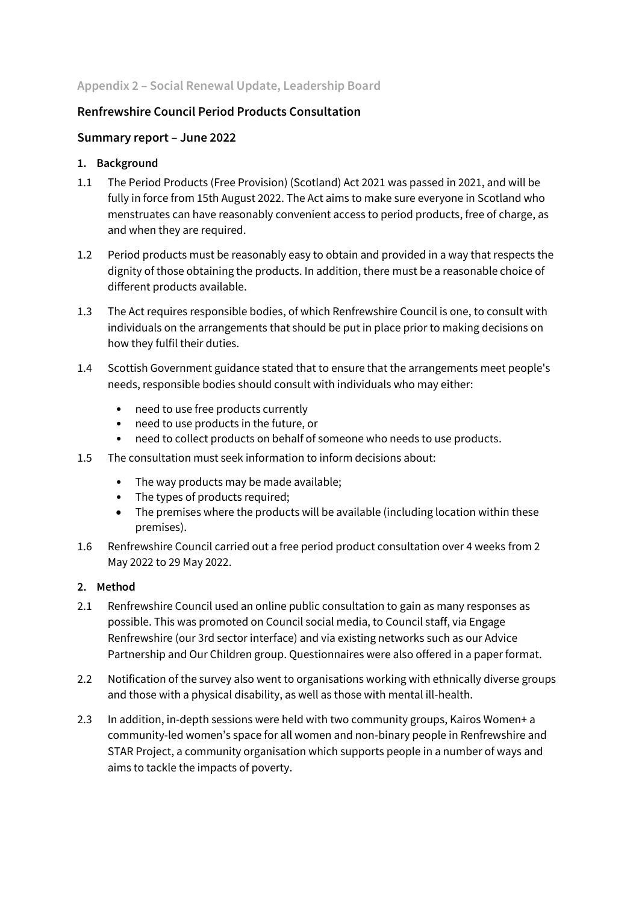#### **Appendix 2 – Social Renewal Update, Leadership Board**

#### **Renfrewshire Council Period Products Consultation**

#### **Summary report – June 2022**

#### **1. Background**

- 1.1 The [Period Products \(Free Provision\) \(Scotland\) Act 2021](https://www.legislation.gov.uk/asp/2021/1/2021-03-18) was passed in 2021, and will be fully in force from 15th August 2022. The Act aims to make sure everyone in Scotland who menstruates can have reasonably convenient access to period products, free of charge, as and when they are required.
- 1.2 Period products must be reasonably easy to obtain and provided in a way that respects the dignity of those obtaining the products. In addition, there must be a reasonable choice of different products available.
- 1.3 The Act requires responsible bodies, of which Renfrewshire Council is one, to consult with individuals on the arrangements that should be put in place prior to making decisions on how they fulfil their duties.
- 1.4 Scottish Government guidance stated that to ensure that the arrangements meet people's needs, responsible bodies should consult with individuals who may either:
	- need to use free products currently
	- need to use products in the future, or
	- need to collect products on behalf of someone who needs to use products.
- 1.5 The consultation must seek information to inform decisions about:
	- The way products may be made available;
	- The types of products required;
	- The premises where the products will be available (including location within these premises).
- 1.6 Renfrewshire Council carried out a free period product consultation over 4 weeks from 2 May 2022 to 29 May 2022.

#### **2. Method**

- 2.1 Renfrewshire Council used an online public consultation to gain as many responses as possible. This was promoted on Council social media, to Council staff, via Engage Renfrewshire (our 3rd sector interface) and via existing networks such as our Advice Partnership and Our Children group. Questionnaires were also offered in a paper format.
- 2.2 Notification of the survey also went to organisations working with ethnically diverse groups and those with a physical disability, as well as those with mental ill-health.
- 2.3 In addition, in-depth sessions were held with two community groups, Kairos Women+ a community-led women's space for all women and non-binary people in Renfrewshire and STAR Project, a community organisation which supports people in a number of ways and aims to tackle the impacts of poverty.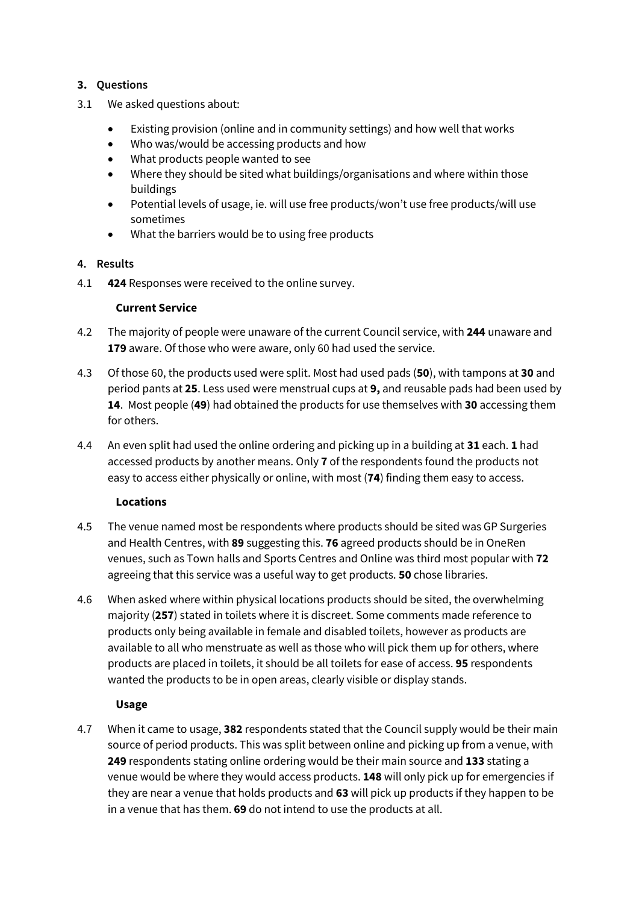#### **3. Questions**

- 3.1 We asked questions about:
	- Existing provision (online and in community settings) and how well that works
	- Who was/would be accessing products and how
	- What products people wanted to see
	- Where they should be sited what buildings/organisations and where within those buildings
	- Potential levels of usage, ie. will use free products/won't use free products/will use sometimes
	- What the barriers would be to using free products

#### **4. Results**

4.1 **424** Responses were received to the online survey.

#### **Current Service**

- 4.2 The majority of people were unaware of the current Council service, with **244** unaware and **179** aware. Of those who were aware, only 60 had used the service.
- 4.3 Of those 60, the products used were split. Most had used pads (**50**), with tampons at **30** and period pants at **25**. Less used were menstrual cups at **9,** and reusable pads had been used by **14**. Most people (**49**) had obtained the products for use themselves with **30** accessing them for others.
- 4.4 An even split had used the online ordering and picking up in a building at **31** each. **1** had accessed products by another means. Only **7** of the respondents found the products not easy to access either physically or online, with most (**74**) finding them easy to access.

#### **Locations**

- 4.5 The venue named most be respondents where products should be sited was GP Surgeries and Health Centres, with **89** suggesting this. **76** agreed products should be in OneRen venues, such as Town halls and Sports Centres and Online was third most popular with **72** agreeing that this service was a useful way to get products. **50** chose libraries.
- 4.6 When asked where within physical locations products should be sited, the overwhelming majority (**257**) stated in toilets where it is discreet. Some comments made reference to products only being available in female and disabled toilets, however as products are available to all who menstruate as well as those who will pick them up for others, where products are placed in toilets, it should be all toilets for ease of access. **95** respondents wanted the products to be in open areas, clearly visible or display stands.

#### **Usage**

4.7 When it came to usage, **382** respondents stated that the Council supply would be their main source of period products. This was split between online and picking up from a venue, with **249** respondents stating online ordering would be their main source and **133** stating a venue would be where they would access products. **148** will only pick up for emergencies if they are near a venue that holds products and **63** will pick up products if they happen to be in a venue that has them. **69** do not intend to use the products at all.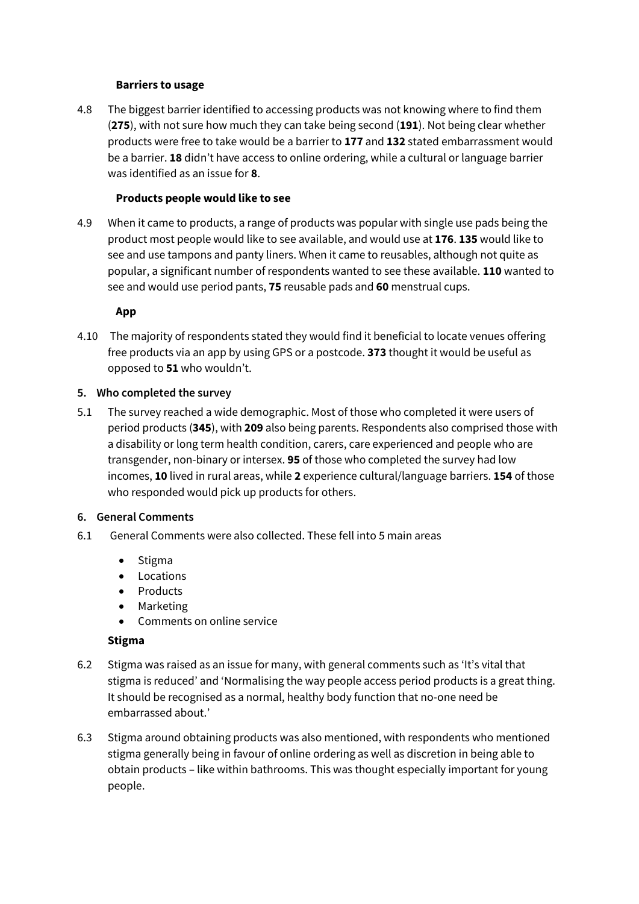#### **Barriers to usage**

4.8 The biggest barrier identified to accessing products was not knowing where to find them (**275**), with not sure how much they can take being second (**191**). Not being clear whether products were free to take would be a barrier to **177** and **132** stated embarrassment would be a barrier. **18** didn't have access to online ordering, while a cultural or language barrier was identified as an issue for **8**.

#### **Products people would like to see**

4.9 When it came to products, a range of products was popular with single use pads being the product most people would like to see available, and would use at **176**. **135** would like to see and use tampons and panty liners. When it came to reusables, although not quite as popular, a significant number of respondents wanted to see these available. **110** wanted to see and would use period pants, **75** reusable pads and **60** menstrual cups.

#### **App**

4.10 The majority of respondents stated they would find it beneficial to locate venues offering free products via an app by using GPS or a postcode. **373** thought it would be useful as opposed to **51** who wouldn't.

#### **5. Who completed the survey**

5.1 The survey reached a wide demographic. Most of those who completed it were users of period products (**345**), with **209** also being parents. Respondents also comprised those with a disability or long term health condition, carers, care experienced and people who are transgender, non-binary or intersex. **95** of those who completed the survey had low incomes, **10** lived in rural areas, while **2** experience cultural/language barriers. **154** of those who responded would pick up products for others.

#### **6. General Comments**

- 6.1 General Comments were also collected. These fell into 5 main areas
	- Stigma
	- Locations
	- Products
	- Marketing
	- Comments on online service

#### **Stigma**

- 6.2 Stigma was raised as an issue for many, with general comments such as 'It's vital that stigma is reduced' and 'Normalising the way people access period products is a great thing. It should be recognised as a normal, healthy body function that no-one need be embarrassed about.'
- 6.3 Stigma around obtaining products was also mentioned, with respondents who mentioned stigma generally being in favour of online ordering as well as discretion in being able to obtain products – like within bathrooms. This was thought especially important for young people.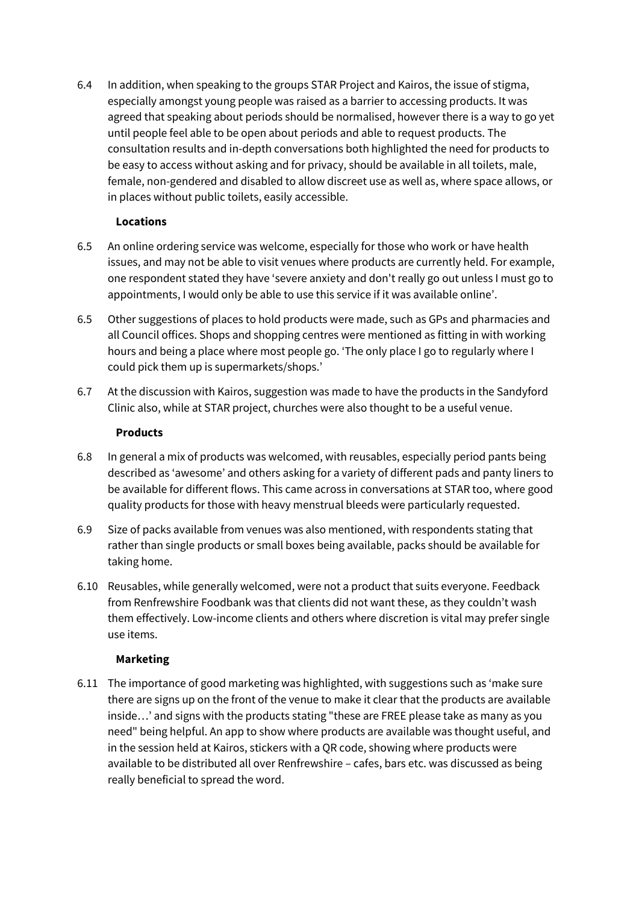6.4 In addition, when speaking to the groups STAR Project and Kairos, the issue of stigma, especially amongst young people was raised as a barrier to accessing products. It was agreed that speaking about periods should be normalised, however there is a way to go yet until people feel able to be open about periods and able to request products. The consultation results and in-depth conversations both highlighted the need for products to be easy to access without asking and for privacy, should be available in all toilets, male, female, non-gendered and disabled to allow discreet use as well as, where space allows, or in places without public toilets, easily accessible.

#### **Locations**

- 6.5 An online ordering service was welcome, especially for those who work or have health issues, and may not be able to visit venues where products are currently held. For example, one respondent stated they have 'severe anxiety and don't really go out unless I must go to appointments, I would only be able to use this service if it was available online'.
- 6.5 Other suggestions of places to hold products were made, such as GPs and pharmacies and all Council offices. Shops and shopping centres were mentioned as fitting in with working hours and being a place where most people go. 'The only place I go to regularly where I could pick them up is supermarkets/shops.'
- 6.7 At the discussion with Kairos, suggestion was made to have the products in the Sandyford Clinic also, while at STAR project, churches were also thought to be a useful venue.

#### **Products**

- 6.8 In general a mix of products was welcomed, with reusables, especially period pants being described as 'awesome' and others asking for a variety of different pads and panty liners to be available for different flows. This came across in conversations at STAR too, where good quality products for those with heavy menstrual bleeds were particularly requested.
- 6.9 Size of packs available from venues was also mentioned, with respondents stating that rather than single products or small boxes being available, packs should be available for taking home.
- 6.10 Reusables, while generally welcomed, were not a product that suits everyone. Feedback from Renfrewshire Foodbank was that clients did not want these, as they couldn't wash them effectively. Low-income clients and others where discretion is vital may prefer single use items.

#### **Marketing**

6.11 The importance of good marketing was highlighted, with suggestions such as 'make sure there are signs up on the front of the venue to make it clear that the products are available inside…' and signs with the products stating "these are FREE please take as many as you need" being helpful. An app to show where products are available was thought useful, and in the session held at Kairos, stickers with a QR code, showing where products were available to be distributed all over Renfrewshire – cafes, bars etc. was discussed as being really beneficial to spread the word.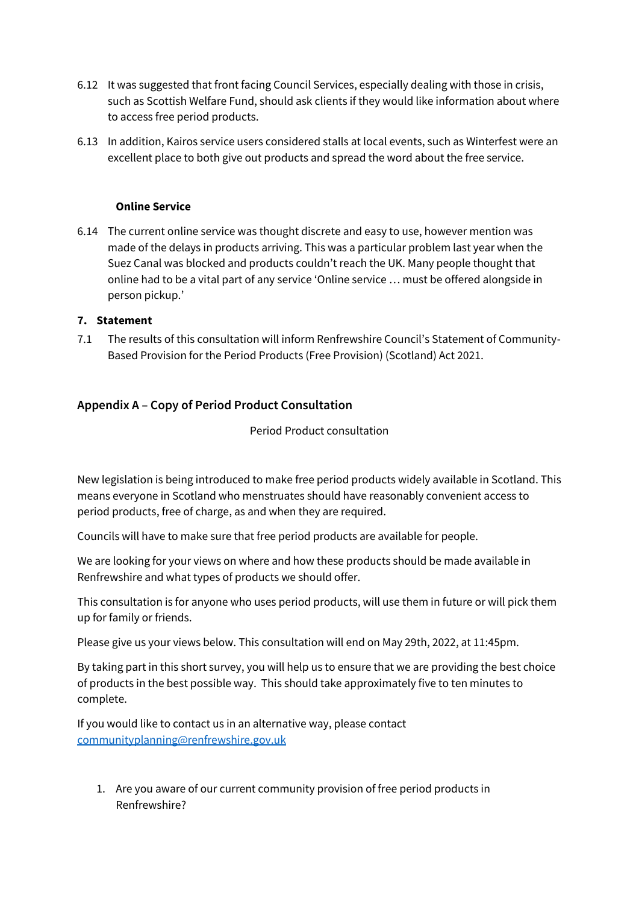- 6.12 It was suggested that front facing Council Services, especially dealing with those in crisis, such as Scottish Welfare Fund, should ask clients if they would like information about where to access free period products.
- 6.13 In addition, Kairos service users considered stalls at local events, such as Winterfest were an excellent place to both give out products and spread the word about the free service.

#### **Online Service**

6.14 The current online service was thought discrete and easy to use, however mention was made of the delays in products arriving. This was a particular problem last year when the Suez Canal was blocked and products couldn't reach the UK. Many people thought that online had to be a vital part of any service 'Online service … must be offered alongside in person pickup.'

#### **7. Statement**

7.1 The results of this consultation will inform Renfrewshire Council's Statement of Community-Based Provision for the Period Products (Free Provision) (Scotland) Act 2021.

## **Appendix A – Copy of Period Product Consultation**

Period Product consultation

New legislation is being introduced to make free period products widely available in Scotland. This means everyone in Scotland who menstruates should have reasonably convenient access to period products, free of charge, as and when they are required.

Councils will have to make sure that free period products are available for people.

We are looking for your views on where and how these products should be made available in Renfrewshire and what types of products we should offer.

This consultation is for anyone who uses period products, will use them in future or will pick them up for family or friends.

Please give us your views below. This consultation will end on May 29th, 2022, at 11:45pm.

By taking part in this short survey, you will help us to ensure that we are providing the best choice of products in the best possible way. This should take approximately five to ten minutes to complete.

If you would like to contact us in an alternative way, please contact [communityplanning@renfrewshire.gov.uk](mailto:communityplanning@renfrewshire.gov.uk)

1. Are you aware of our current community provision of free period products in Renfrewshire?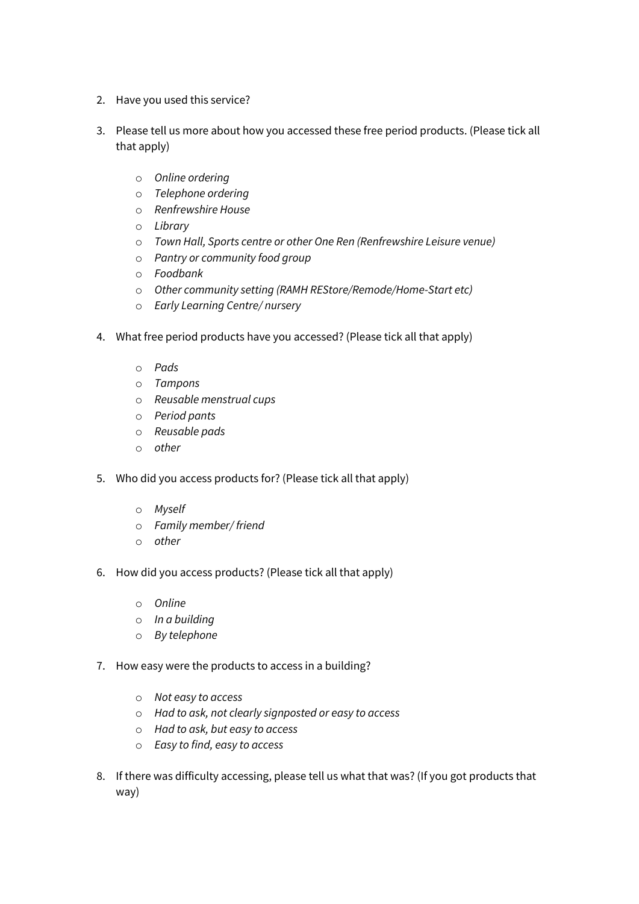- 2. Have you used this service?
- 3. Please tell us more about how you accessed these free period products. (Please tick all that apply)
	- o *Online ordering*
	- o *Telephone ordering*
	- o *Renfrewshire House*
	- o *Library*
	- o *Town Hall, Sports centre or other One Ren (Renfrewshire Leisure venue)*
	- o *Pantry or community food group*
	- o *Foodbank*
	- o *Other community setting (RAMH REStore/Remode/Home-Start etc)*
	- o *Early Learning Centre/ nursery*
- 4. What free period products have you accessed? (Please tick all that apply)
	- o *Pads*
	- o *Tampons*
	- o *Reusable menstrual cups*
	- o *Period pants*
	- o *Reusable pads*
	- o *other*
- 5. Who did you access products for? (Please tick all that apply)
	- o *Myself*
	- o *Family member/ friend*
	- o *other*
- 6. How did you access products? (Please tick all that apply)
	- o *Online*
	- o *In a building*
	- o *By telephone*
- 7. How easy were the products to access in a building?
	- o *Not easy to access*
	- o *Had to ask, not clearly signposted or easy to access*
	- o *Had to ask, but easy to access*
	- o *Easy to find, easy to access*
- 8. If there was difficulty accessing, please tell us what that was? (If you got products that way)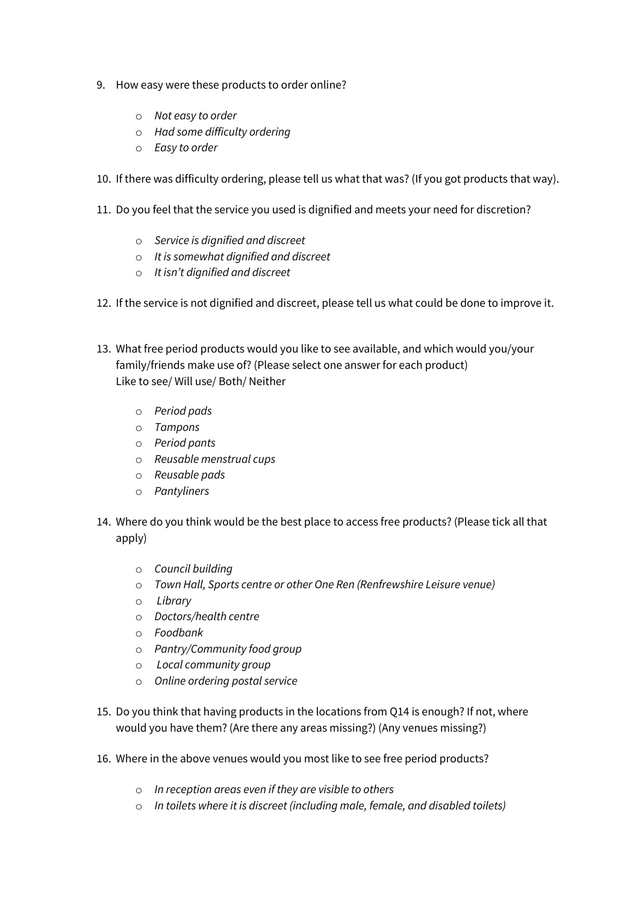- 9. How easy were these products to order online?
	- o *Not easy to order*
	- o *Had some difficulty ordering*
	- o *Easy to order*
- 10. If there was difficulty ordering, please tell us what that was? (If you got products that way).
- 11. Do you feel that the service you used is dignified and meets your need for discretion?
	- o *Service is dignified and discreet*
	- o *It is somewhat dignified and discreet*
	- o *It isn't dignified and discreet*
- 12. If the service is not dignified and discreet, please tell us what could be done to improve it.
- 13. What free period products would you like to see available, and which would you/your family/friends make use of? (Please select one answer for each product) Like to see/ Will use/ Both/ Neither
	- o *Period pads*
	- o *Tampons*
	- o *Period pants*
	- o *Reusable menstrual cups*
	- o *Reusable pads*
	- o *Pantyliners*
- 14. Where do you think would be the best place to access free products? (Please tick all that apply)
	- o *Council building*
	- o *Town Hall, Sports centre or other One Ren (Renfrewshire Leisure venue)*
	- o *Library*
	- o *Doctors/health centre*
	- o *Foodbank*
	- o *Pantry/Community food group*
	- o *Local community group*
	- o *Online ordering postal service*
- 15. Do you think that having products in the locations from Q14 is enough? If not, where would you have them? (Are there any areas missing?) (Any venues missing?)
- 16. Where in the above venues would you most like to see free period products?
	- o *In reception areas even if they are visible to others*
	- o *In toilets where it is discreet (including male, female, and disabled toilets)*